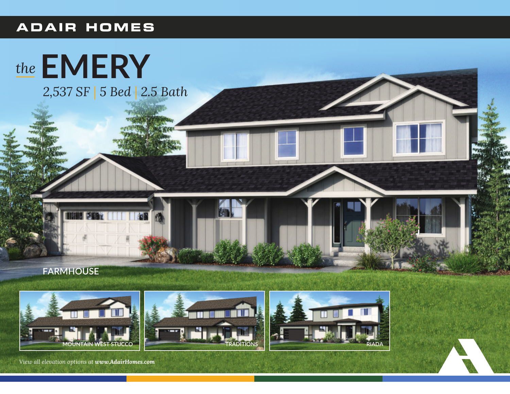## **ADAIR HOMES**









*View all elevation options at www.AdairHomes.com*